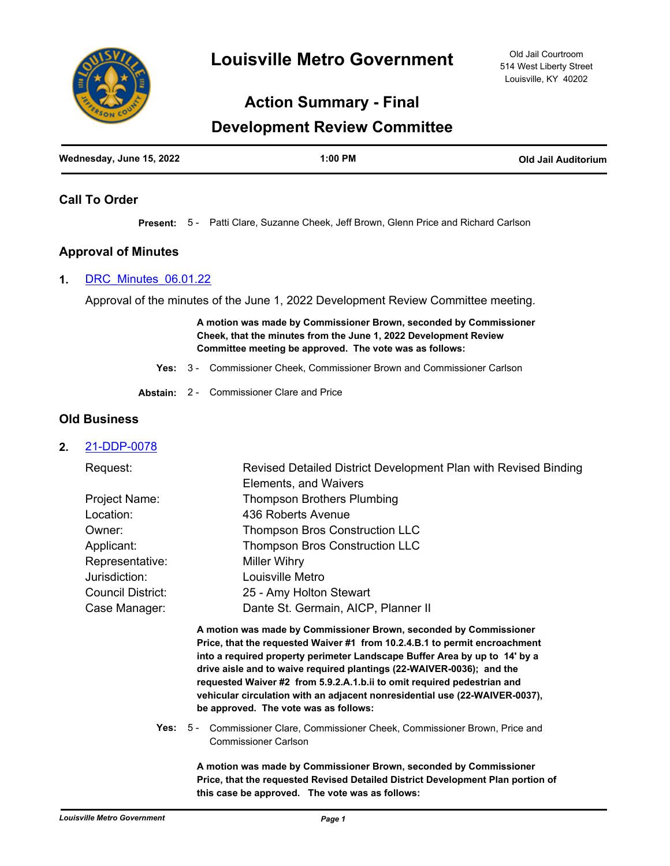

# **Action Summary - Final**

# **Development Review Committee**

| Wednesday, June 15, 2022 | $1:00$ PM | <b>Old Jail Auditorium</b> |
|--------------------------|-----------|----------------------------|
|                          |           |                            |

# **Call To Order**

**Present:** 5 - Patti Clare, Suzanne Cheek, Jeff Brown, Glenn Price and Richard Carlson

# **Approval of Minutes**

#### **1.** [DRC\\_Minutes\\_06.01.22](http://louisville.legistar.com/gateway.aspx?m=l&id=/matter.aspx?key=60771)

Approval of the minutes of the June 1, 2022 Development Review Committee meeting.

**A motion was made by Commissioner Brown, seconded by Commissioner Cheek, that the minutes from the June 1, 2022 Development Review Committee meeting be approved. The vote was as follows:**

- **Yes:** 3 Commissioner Cheek, Commissioner Brown and Commissioner Carlson
- **Abstain:** 2 Commissioner Clare and Price

## **Old Business**

## **2.** [21-DDP-0078](http://louisville.legistar.com/gateway.aspx?m=l&id=/matter.aspx?key=60392)

| Request:                 | Revised Detailed District Development Plan with Revised Binding                                                                                 |
|--------------------------|-------------------------------------------------------------------------------------------------------------------------------------------------|
|                          | Elements, and Waivers                                                                                                                           |
| Project Name:            | <b>Thompson Brothers Plumbing</b>                                                                                                               |
| Location:                | 436 Roberts Avenue                                                                                                                              |
| Owner:                   | <b>Thompson Bros Construction LLC</b>                                                                                                           |
| Applicant:               | <b>Thompson Bros Construction LLC</b>                                                                                                           |
| Representative:          | <b>Miller Wihry</b>                                                                                                                             |
| Jurisdiction:            | Louisville Metro                                                                                                                                |
| <b>Council District:</b> | 25 - Amy Holton Stewart                                                                                                                         |
| Case Manager:            | Dante St. Germain, AICP, Planner II                                                                                                             |
|                          | A motion was made by Commissioner Brown, seconded by Commissioner<br>Price, that the requested Waiver #1 from 10.2.4.B.1 to permit encroachment |

**into a required property perimeter Landscape Buffer Area by up to 14' by a drive aisle and to waive required plantings (22-WAIVER-0036); and the requested Waiver #2 from 5.9.2.A.1.b.ii to omit required pedestrian and vehicular circulation with an adjacent nonresidential use (22-WAIVER-0037), be approved. The vote was as follows:**

**Yes:** Commissioner Clare, Commissioner Cheek, Commissioner Brown, Price and Commissioner Carlson Yes:  $5 -$ 

> **A motion was made by Commissioner Brown, seconded by Commissioner Price, that the requested Revised Detailed District Development Plan portion of this case be approved. The vote was as follows:**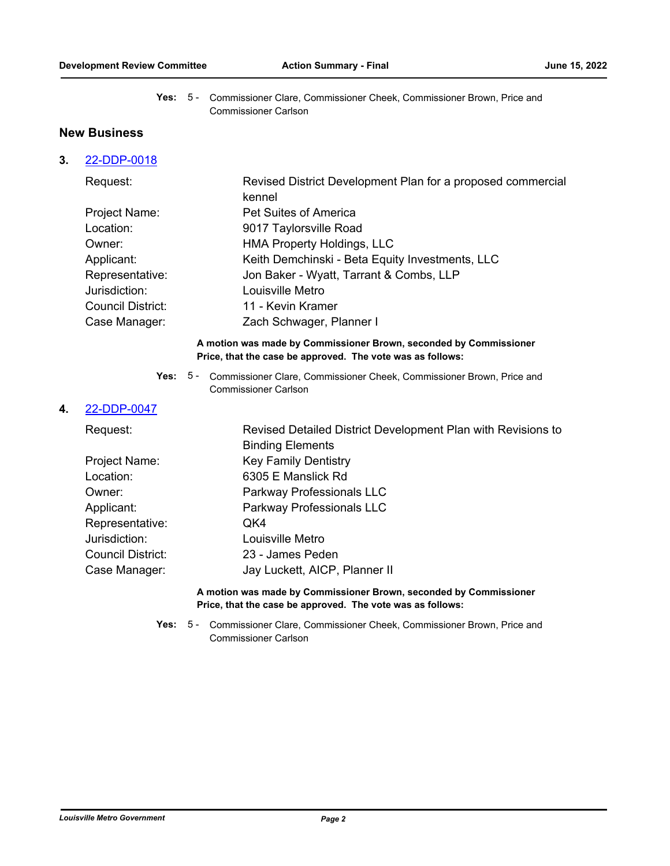Yes: 5 - Commissioner Clare, Commissioner Cheek, Commissioner Brown, Price and Commissioner Carlson

# **New Business**

## **3.** [22-DDP-0018](http://louisville.legistar.com/gateway.aspx?m=l&id=/matter.aspx?key=60773)

| Request:          | Revised District Development Plan for a proposed commercial<br>kennel |
|-------------------|-----------------------------------------------------------------------|
| Project Name:     | <b>Pet Suites of America</b>                                          |
| Location:         | 9017 Taylorsville Road                                                |
| Owner:            | <b>HMA Property Holdings, LLC</b>                                     |
| Applicant:        | Keith Demchinski - Beta Equity Investments, LLC                       |
| Representative:   | Jon Baker - Wyatt, Tarrant & Combs, LLP                               |
| Jurisdiction:     | Louisville Metro                                                      |
| Council District: | 11 - Kevin Kramer                                                     |
| Case Manager:     | Zach Schwager, Planner I                                              |

#### **A motion was made by Commissioner Brown, seconded by Commissioner Price, that the case be approved. The vote was as follows:**

Yes: 5 - Commissioner Clare, Commissioner Cheek, Commissioner Brown, Price and Commissioner Carlson

#### **4.** [22-DDP-0047](http://louisville.legistar.com/gateway.aspx?m=l&id=/matter.aspx?key=60774)

| Request:                   | Revised Detailed District Development Plan with Revisions to<br><b>Binding Elements</b> |
|----------------------------|-----------------------------------------------------------------------------------------|
| Project Name:<br>Location: | <b>Key Family Dentistry</b><br>6305 E Manslick Rd                                       |
| Owner:                     | Parkway Professionals LLC                                                               |
| Applicant:                 | Parkway Professionals LLC                                                               |
| Representative:            | QK4                                                                                     |
| Jurisdiction:              | Louisville Metro                                                                        |
| Council District:          | 23 - James Peden                                                                        |
| Case Manager:              | Jay Luckett, AICP, Planner II                                                           |
|                            |                                                                                         |

#### **A motion was made by Commissioner Brown, seconded by Commissioner Price, that the case be approved. The vote was as follows:**

**Yes:** Commissioner Clare, Commissioner Cheek, Commissioner Brown, Price and Commissioner Carlson Yes:  $5 -$